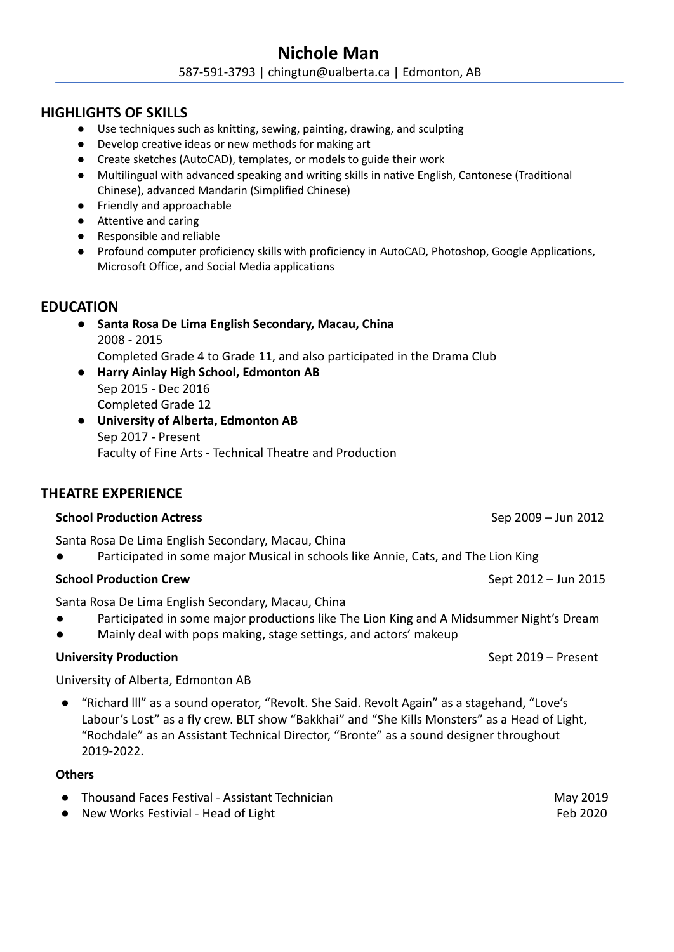# **Nichole Man** 587-591-3793 | chingtun@ualberta.ca | Edmonton, AB

## **HIGHLIGHTS OF SKILLS**

- Use techniques such as knitting, sewing, painting, drawing, and sculpting
- Develop creative ideas or new methods for making art
- Create sketches (AutoCAD), templates, or models to guide their work
- Multilingual with advanced speaking and writing skills in native English, Cantonese (Traditional Chinese), advanced Mandarin (Simplified Chinese)
- Friendly and approachable
- Attentive and caring
- Responsible and reliable
- Profound computer proficiency skills with proficiency in AutoCAD, Photoshop, Google Applications, Microsoft Office, and Social Media applications

## **EDUCATION**

- **● Santa Rosa De Lima English Secondary, Macau, China** 2008 - 2015 Completed Grade 4 to Grade 11, and also participated in the Drama Club
- **● Harry Ainlay High School, Edmonton AB** Sep 2015 - Dec 2016 Completed Grade 12
- **● University of Alberta, Edmonton AB** Sep 2017 - Present Faculty of Fine Arts - Technical Theatre and Production

## **THEATRE EXPERIENCE**

## **School Production Actress** Sep 2009 – Jun 2012

Santa Rosa De Lima English Secondary, Macau, China

Participated in some major Musical in schools like Annie, Cats, and The Lion King

## **School Production Crew** Sept 2012 – Jun 2015

Santa Rosa De Lima English Secondary, Macau, China

- Participated in some major productions like The Lion King and A Midsummer Night's Dream
- Mainly deal with pops making, stage settings, and actors' makeup

## **University Production** Sept 2019 – Present

University of Alberta, Edmonton AB

● "Richard lll" as a sound operator, "Revolt. She Said. Revolt Again" as a stagehand, "Love's Labour's Lost" as a fly crew. BLT show "Bakkhai" and "She Kills Monsters" as a Head of Light, "Rochdale" as an Assistant Technical Director, "Bronte" as a sound designer throughout 2019-2022.

#### **Others**

- Thousand Faces Festival Assistant Technician May 2019
- New Works Festivial Head of Light Feb 2020